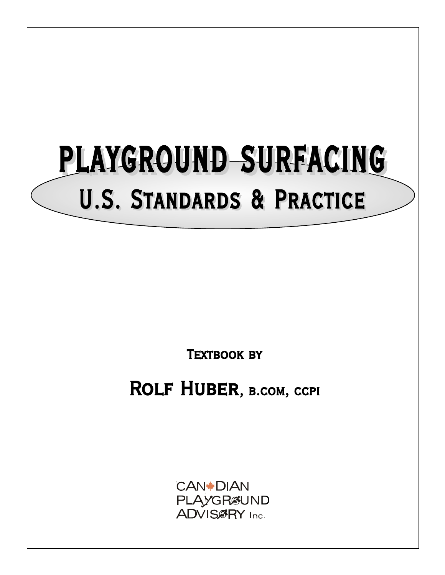# PLAYGROUND SURFACING U.S. Standards & Practice

**TEXTBOOK BY** 

ROLF HUBER, B.COM, CCPI

**CAN\*DIAN** PLAYGRØUND<br>ADVISØRY Inc.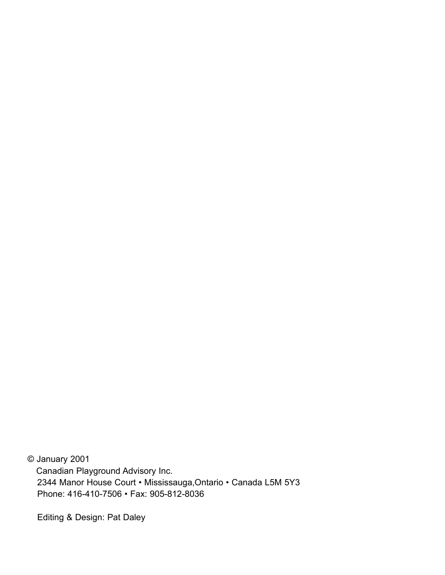© January 2001 Canadian Playground Advisory Inc. 2344 Manor House Court • Mississauga,Ontario • Canada L5M 5Y3 Phone: 416-410-7506 • Fax: 905-812-8036

Editing & Design: Pat Daley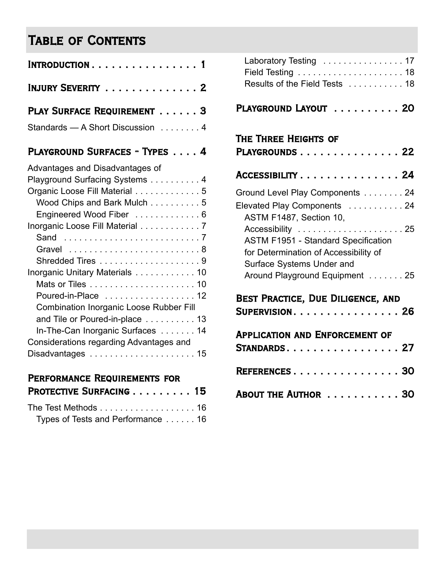# Table of Contents

| INJURY SEVERITY 2                |  |  |  |  |
|----------------------------------|--|--|--|--|
| PLAY SURFACE REQUIREMENT 3       |  |  |  |  |
| Standards - A Short Discussion 4 |  |  |  |  |

## PLAYGROUND SURFACES - TYPES . . . . 4

| Advantages and Disadvantages of                |
|------------------------------------------------|
| Playground Surfacing Systems 4                 |
| Organic Loose Fill Material 5                  |
| Wood Chips and Bark Mulch 5                    |
| Engineered Wood Fiber  6                       |
| Inorganic Loose Fill Material 7                |
|                                                |
| Gravel 8                                       |
|                                                |
| Inorganic Unitary Materials 10                 |
|                                                |
| Poured-in-Place 12                             |
| <b>Combination Inorganic Loose Rubber Fill</b> |
| and Tile or Poured-in-place 13                 |
| In-The-Can Inorganic Surfaces 14               |
| Considerations regarding Advantages and        |
|                                                |
|                                                |

## Performance Requirements for

| PROTECTIVE SURFACING 15 |  |  |  |  |  |  |
|-------------------------|--|--|--|--|--|--|
|                         |  |  |  |  |  |  |

|  |  | Types of Tests and Performance 16 |  |  |  |  |  |  |  |  |  |  |  |
|--|--|-----------------------------------|--|--|--|--|--|--|--|--|--|--|--|

| Results of the Field Tests 18 |
|-------------------------------|
|                               |

## PLAYGROUND LAYOUT . . . . . . . . . . 20

## The Three Heights of

| PLAYGROUNDS22                                                                                                                       |
|-------------------------------------------------------------------------------------------------------------------------------------|
| ACCESSIBILITY 24                                                                                                                    |
| Ground Level Play Components 24                                                                                                     |
| Elevated Play Components 24<br>ASTM F1487, Section 10,                                                                              |
| <b>ASTM F1951 - Standard Specification</b><br>for Determination of Accessibility of<br>Surface Systems Under and                    |
| Around Playground Equipment 25<br>BEST PRACTICE, DUE DILIGENCE, AND<br>$\textsf{SUPERVISION} \ldots \ldots \ldots \ldots \ldots 26$ |
| <b>APPLICATION AND ENFORCEMENT OF</b><br>$STANDARDS. 27$                                                                            |
| REFERENCES 30                                                                                                                       |
| ABOUT THE AUTHOR  30                                                                                                                |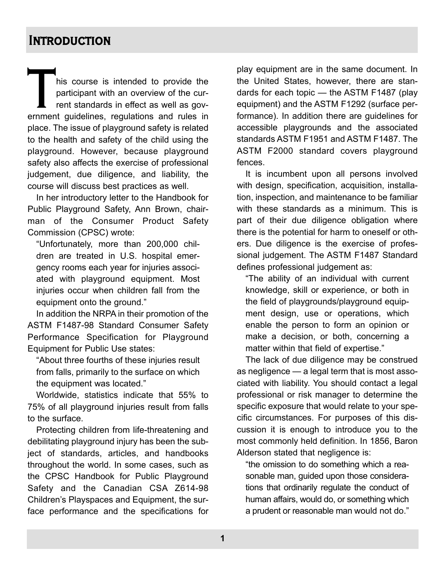# **INTRODUCTION**

This course is intended to provide the<br>participant with an overview of the cur-<br>rent standards in effect as well as gov-<br>ernment guidelines, regulations and rules in participant with an overview of the current standards in effect as well as govplace. The issue of playground safety is related to the health and safety of the child using the playground. However, because playground safety also affects the exercise of professional judgement, due diligence, and liability, the course will discuss best practices as well.

In her introductory letter to the Handbook for Public Playground Safety, Ann Brown, chairman of the Consumer Product Safety Commission (CPSC) wrote:

"Unfortunately, more than 200,000 children are treated in U.S. hospital emergency rooms each year for injuries associated with playground equipment. Most injuries occur when children fall from the equipment onto the ground."

In addition the NRPA in their promotion of the ASTM F1487-98 Standard Consumer Safety Performance Specification for Playground Equipment for Public Use states:

"About three fourths of these injuries result from falls, primarily to the surface on which the equipment was located."

Worldwide, statistics indicate that 55% to 75% of all playground injuries result from falls to the surface.

Protecting children from life-threatening and debilitating playground injury has been the subject of standards, articles, and handbooks throughout the world. In some cases, such as the CPSC Handbook for Public Playground Safety and the Canadian CSA Z614-98 Children's Playspaces and Equipment, the surface performance and the specifications for play equipment are in the same document. In the United States, however, there are standards for each topic — the ASTM F1487 (play equipment) and the ASTM F1292 (surface performance). In addition there are guidelines for accessible playgrounds and the associated standards ASTM F1951 and ASTM F1487. The ASTM F2000 standard covers playground fences.

It is incumbent upon all persons involved with design, specification, acquisition, installation, inspection, and maintenance to be familiar with these standards as a minimum. This is part of their due diligence obligation where there is the potential for harm to oneself or others. Due diligence is the exercise of professional judgement. The ASTM F1487 Standard defines professional judgement as:

"The ability of an individual with current knowledge, skill or experience, or both in the field of playgrounds/playground equipment design, use or operations, which enable the person to form an opinion or make a decision, or both, concerning a matter within that field of expertise."

The lack of due diligence may be construed as negligence — a legal term that is most associated with liability. You should contact a legal professional or risk manager to determine the specific exposure that would relate to your specific circumstances. For purposes of this discussion it is enough to introduce you to the most commonly held definition. In 1856, Baron Alderson stated that negligence is:

"the omission to do something which a reasonable man, guided upon those considerations that ordinarily regulate the conduct of human affairs, would do, or something which a prudent or reasonable man would not do."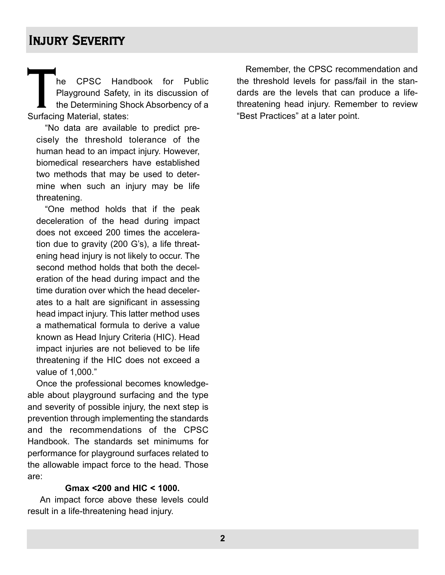# Injury Severity

The CPSC Handbook for Public<br>Playground Safety, in its discussion of<br>the Determining Shock Absorbency of a<br>Surfacing Material, states: Playground Safety, in its discussion of the Determining Shock Absorbency of a Surfacing Material, states:

"No data are available to predict precisely the threshold tolerance of the human head to an impact injury. However, biomedical researchers have established two methods that may be used to determine when such an injury may be life threatening.

"One method holds that if the peak deceleration of the head during impact does not exceed 200 times the acceleration due to gravity (200 G's), a life threatening head injury is not likely to occur. The second method holds that both the deceleration of the head during impact and the time duration over which the head decelerates to a halt are significant in assessing head impact injury. This latter method uses a mathematical formula to derive a value known as Head Injury Criteria (HIC). Head impact injuries are not believed to be life threatening if the HIC does not exceed a value of 1,000."

Once the professional becomes knowledgeable about playground surfacing and the type and severity of possible injury, the next step is prevention through implementing the standards and the recommendations of the CPSC Handbook. The standards set minimums for performance for playground surfaces related to the allowable impact force to the head. Those are:

#### **Gmax <200 and HIC < 1000.**

An impact force above these levels could result in a life-threatening head injury.

Remember, the CPSC recommendation and the threshold levels for pass/fail in the standards are the levels that can produce a lifethreatening head injury. Remember to review "Best Practices" at a later point.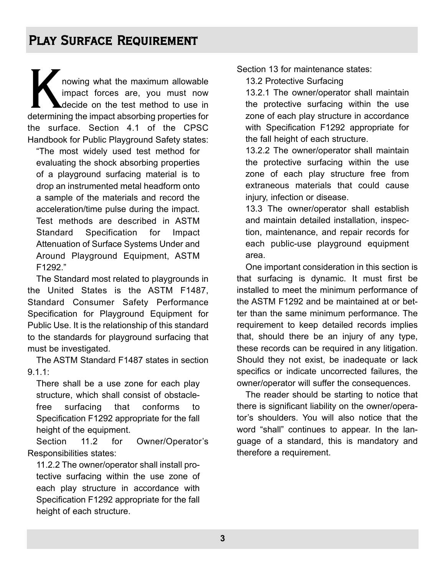nowing what the maximum allowable impact forces are, you must now decide on the test method to use in determining the impact absorbing properties for the surface. Section 4.1 of the CPSC Handbook for Public Playground Safety states:

"The most widely used test method for evaluating the shock absorbing properties of a playground surfacing material is to drop an instrumented metal headform onto a sample of the materials and record the acceleration/time pulse during the impact. Test methods are described in ASTM Standard Specification for Impact Attenuation of Surface Systems Under and Around Playground Equipment, ASTM F1292."

The Standard most related to playgrounds in the United States is the ASTM F1487, Standard Consumer Safety Performance Specification for Playground Equipment for Public Use. It is the relationship of this standard to the standards for playground surfacing that must be investigated.

The ASTM Standard F1487 states in section 9.1.1:

There shall be a use zone for each play structure, which shall consist of obstaclefree surfacing that conforms to Specification F1292 appropriate for the fall height of the equipment.

Section 11.2 for Owner/Operator's Responsibilities states:

11.2.2 The owner/operator shall install protective surfacing within the use zone of each play structure in accordance with Specification F1292 appropriate for the fall height of each structure.

Section 13 for maintenance states:

13.2 Protective Surfacing

13.2.1 The owner/operator shall maintain the protective surfacing within the use zone of each play structure in accordance with Specification F1292 appropriate for the fall height of each structure.

13.2.2 The owner/operator shall maintain the protective surfacing within the use zone of each play structure free from extraneous materials that could cause injury, infection or disease.

13.3 The owner/operator shall establish and maintain detailed installation, inspection, maintenance, and repair records for each public-use playground equipment area.

One important consideration in this section is that surfacing is dynamic. It must first be installed to meet the minimum performance of the ASTM F1292 and be maintained at or better than the same minimum performance. The requirement to keep detailed records implies that, should there be an injury of any type, these records can be required in any litigation. Should they not exist, be inadequate or lack specifics or indicate uncorrected failures, the owner/operator will suffer the consequences.

The reader should be starting to notice that there is significant liability on the owner/operator's shoulders. You will also notice that the word "shall" continues to appear. In the language of a standard, this is mandatory and therefore a requirement.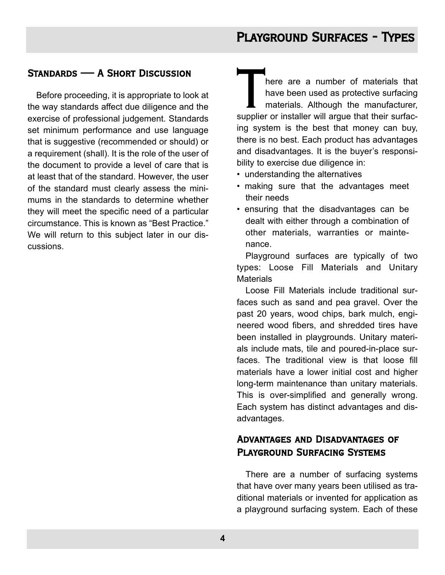## Standards — A Short Discussion

Before proceeding, it is appropriate to look at the way standards affect due diligence and the exercise of professional judgement. Standards set minimum performance and use language that is suggestive (recommended or should) or a requirement (shall). It is the role of the user of the document to provide a level of care that is at least that of the standard. However, the user of the standard must clearly assess the minimums in the standards to determine whether they will meet the specific need of a particular circumstance. This is known as "Best Practice." We will return to this subject later in our discussions.

There are a number of materials that<br>
have been used as protective surfacing<br>
materials. Although the manufacturer,<br>
supplier or installer will argue that their surfachave been used as protective surfacing materials. Although the manufacturer, ing system is the best that money can buy, there is no best. Each product has advantages and disadvantages. It is the buyer's responsibility to exercise due diligence in:

- understanding the alternatives
- making sure that the advantages meet their needs
- ensuring that the disadvantages can be dealt with either through a combination of other materials, warranties or maintenance.

Playground surfaces are typically of two types: Loose Fill Materials and Unitary **Materials** 

Loose Fill Materials include traditional surfaces such as sand and pea gravel. Over the past 20 years, wood chips, bark mulch, engineered wood fibers, and shredded tires have been installed in playgrounds. Unitary materials include mats, tile and poured-in-place surfaces. The traditional view is that loose fill materials have a lower initial cost and higher long-term maintenance than unitary materials. This is over-simplified and generally wrong. Each system has distinct advantages and disadvantages.

## Advantages and Disadvantages of Playground Surfacing Systems

There are a number of surfacing systems that have over many years been utilised as traditional materials or invented for application as a playground surfacing system. Each of these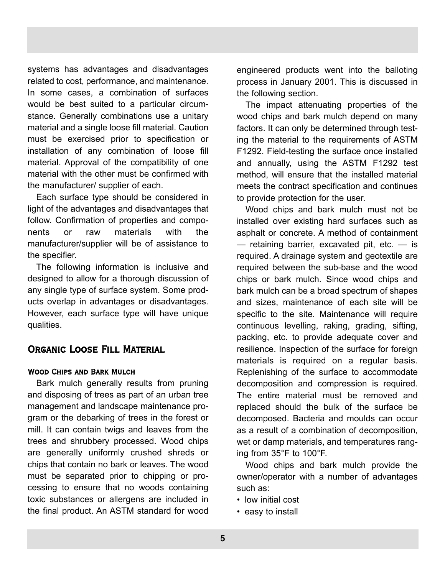systems has advantages and disadvantages related to cost, performance, and maintenance. In some cases, a combination of surfaces would be best suited to a particular circumstance. Generally combinations use a unitary material and a single loose fill material. Caution must be exercised prior to specification or installation of any combination of loose fill material. Approval of the compatibility of one material with the other must be confirmed with the manufacturer/ supplier of each.

Each surface type should be considered in light of the advantages and disadvantages that follow. Confirmation of properties and components or raw materials with the manufacturer/supplier will be of assistance to the specifier.

The following information is inclusive and designed to allow for a thorough discussion of any single type of surface system. Some products overlap in advantages or disadvantages. However, each surface type will have unique qualities.

## Organic Loose Fill Material

## Wood Chips and Bark Mulch

Bark mulch generally results from pruning and disposing of trees as part of an urban tree management and landscape maintenance program or the debarking of trees in the forest or mill. It can contain twigs and leaves from the trees and shrubbery processed. Wood chips are generally uniformly crushed shreds or chips that contain no bark or leaves. The wood must be separated prior to chipping or processing to ensure that no woods containing toxic substances or allergens are included in the final product. An ASTM standard for wood

engineered products went into the balloting process in January 2001. This is discussed in the following section.

The impact attenuating properties of the wood chips and bark mulch depend on many factors. It can only be determined through testing the material to the requirements of ASTM F1292. Field-testing the surface once installed and annually, using the ASTM F1292 test method, will ensure that the installed material meets the contract specification and continues to provide protection for the user.

Wood chips and bark mulch must not be installed over existing hard surfaces such as asphalt or concrete. A method of containment — retaining barrier, excavated pit, etc. — is required. A drainage system and geotextile are required between the sub-base and the wood chips or bark mulch. Since wood chips and bark mulch can be a broad spectrum of shapes and sizes, maintenance of each site will be specific to the site. Maintenance will require continuous levelling, raking, grading, sifting, packing, etc. to provide adequate cover and resilience. Inspection of the surface for foreign materials is required on a regular basis. Replenishing of the surface to accommodate decomposition and compression is required. The entire material must be removed and replaced should the bulk of the surface be decomposed. Bacteria and moulds can occur as a result of a combination of decomposition, wet or damp materials, and temperatures ranging from 35°F to 100°F.

Wood chips and bark mulch provide the owner/operator with a number of advantages such as:

- low initial cost
- easy to install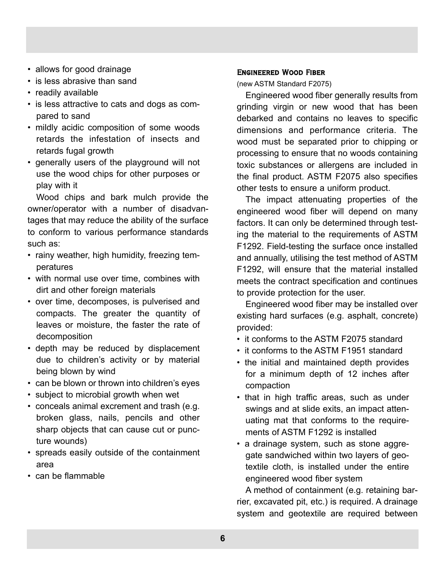- allows for good drainage
- is less abrasive than sand
- readily available
- is less attractive to cats and dogs as compared to sand
- mildly acidic composition of some woods retards the infestation of insects and retards fugal growth
- generally users of the playground will not use the wood chips for other purposes or play with it

Wood chips and bark mulch provide the owner/operator with a number of disadvantages that may reduce the ability of the surface to conform to various performance standards such as:

- rainy weather, high humidity, freezing temperatures
- with normal use over time, combines with dirt and other foreign materials
- over time, decomposes, is pulverised and compacts. The greater the quantity of leaves or moisture, the faster the rate of decomposition
- depth may be reduced by displacement due to children's activity or by material being blown by wind
- can be blown or thrown into children's eyes
- subject to microbial growth when wet
- conceals animal excrement and trash (e.g. broken glass, nails, pencils and other sharp objects that can cause cut or puncture wounds)
- spreads easily outside of the containment area
- can be flammable

#### Engineered Wood Fiber

(new ASTM Standard F2075)

Engineered wood fiber generally results from grinding virgin or new wood that has been debarked and contains no leaves to specific dimensions and performance criteria. The wood must be separated prior to chipping or processing to ensure that no woods containing toxic substances or allergens are included in the final product. ASTM F2075 also specifies other tests to ensure a uniform product.

The impact attenuating properties of the engineered wood fiber will depend on many factors. It can only be determined through testing the material to the requirements of ASTM F1292. Field-testing the surface once installed and annually, utilising the test method of ASTM F1292, will ensure that the material installed meets the contract specification and continues to provide protection for the user.

Engineered wood fiber may be installed over existing hard surfaces (e.g. asphalt, concrete) provided:

- it conforms to the ASTM F2075 standard
- it conforms to the ASTM F1951 standard
- the initial and maintained depth provides for a minimum depth of 12 inches after compaction
- that in high traffic areas, such as under swings and at slide exits, an impact attenuating mat that conforms to the requirements of ASTM F1292 is installed
- a drainage system, such as stone aggregate sandwiched within two layers of geotextile cloth, is installed under the entire engineered wood fiber system

A method of containment (e.g. retaining barrier, excavated pit, etc.) is required. A drainage system and geotextile are required between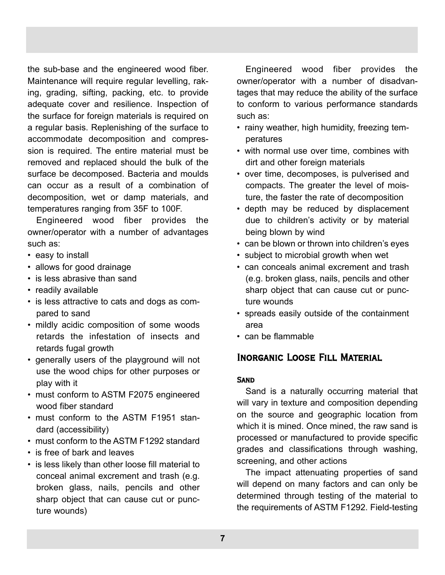the sub-base and the engineered wood fiber. Maintenance will require regular levelling, raking, grading, sifting, packing, etc. to provide adequate cover and resilience. Inspection of the surface for foreign materials is required on a regular basis. Replenishing of the surface to accommodate decomposition and compression is required. The entire material must be removed and replaced should the bulk of the surface be decomposed. Bacteria and moulds can occur as a result of a combination of decomposition, wet or damp materials, and temperatures ranging from 35F to 100F.

Engineered wood fiber provides the owner/operator with a number of advantages such as:

- easy to install
- allows for good drainage
- is less abrasive than sand
- readily available
- is less attractive to cats and dogs as compared to sand
- mildly acidic composition of some woods retards the infestation of insects and retards fugal growth
- generally users of the playground will not use the wood chips for other purposes or play with it
- must conform to ASTM F2075 engineered wood fiber standard
- must conform to the ASTM F1951 standard (accessibility)
- must conform to the ASTM F1292 standard
- is free of bark and leaves
- is less likely than other loose fill material to conceal animal excrement and trash (e.g. broken glass, nails, pencils and other sharp object that can cause cut or puncture wounds)

Engineered wood fiber provides the owner/operator with a number of disadvantages that may reduce the ability of the surface to conform to various performance standards such as:

- rainy weather, high humidity, freezing temperatures
- with normal use over time, combines with dirt and other foreign materials
- over time, decomposes, is pulverised and compacts. The greater the level of moisture, the faster the rate of decomposition
- depth may be reduced by displacement due to children's activity or by material being blown by wind
- can be blown or thrown into children's eyes
- subject to microbial growth when wet
- can conceals animal excrement and trash (e.g. broken glass, nails, pencils and other sharp object that can cause cut or puncture wounds
- spreads easily outside of the containment area
- can be flammable

## Inorganic Loose Fill Material

#### **SAND**

Sand is a naturally occurring material that will vary in texture and composition depending on the source and geographic location from which it is mined. Once mined, the raw sand is processed or manufactured to provide specific grades and classifications through washing, screening, and other actions

The impact attenuating properties of sand will depend on many factors and can only be determined through testing of the material to the requirements of ASTM F1292. Field-testing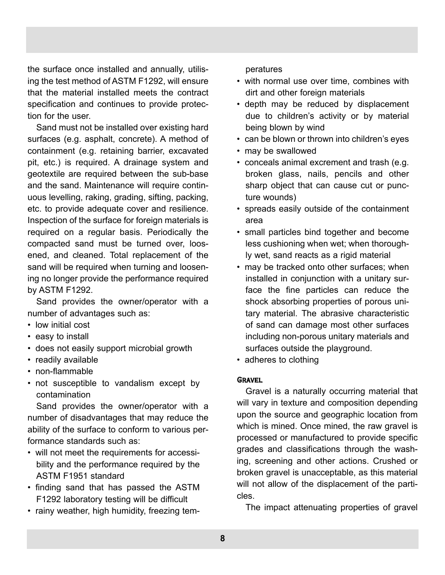the surface once installed and annually, utilising the test method of ASTM F1292, will ensure that the material installed meets the contract specification and continues to provide protection for the user.

Sand must not be installed over existing hard surfaces (e.g. asphalt, concrete). A method of containment (e.g. retaining barrier, excavated pit, etc.) is required. A drainage system and geotextile are required between the sub-base and the sand. Maintenance will require continuous levelling, raking, grading, sifting, packing, etc. to provide adequate cover and resilience. Inspection of the surface for foreign materials is required on a regular basis. Periodically the compacted sand must be turned over, loosened, and cleaned. Total replacement of the sand will be required when turning and loosening no longer provide the performance required by ASTM F1292.

Sand provides the owner/operator with a number of advantages such as:

- low initial cost
- easy to install
- does not easily support microbial growth
- readily available
- non-flammable
- not susceptible to vandalism except by contamination

Sand provides the owner/operator with a number of disadvantages that may reduce the ability of the surface to conform to various performance standards such as:

- will not meet the requirements for accessibility and the performance required by the ASTM F1951 standard
- finding sand that has passed the ASTM F1292 laboratory testing will be difficult
- rainy weather, high humidity, freezing tem-

peratures

- with normal use over time, combines with dirt and other foreign materials
- depth may be reduced by displacement due to children's activity or by material being blown by wind
- can be blown or thrown into children's eyes
- may be swallowed
- conceals animal excrement and trash (e.g. broken glass, nails, pencils and other sharp object that can cause cut or puncture wounds)
- spreads easily outside of the containment area
- small particles bind together and become less cushioning when wet; when thoroughly wet, sand reacts as a rigid material
- may be tracked onto other surfaces; when installed in conjunction with a unitary surface the fine particles can reduce the shock absorbing properties of porous unitary material. The abrasive characteristic of sand can damage most other surfaces including non-porous unitary materials and surfaces outside the playground.
- adheres to clothing

## **GRAVEL**

Gravel is a naturally occurring material that will vary in texture and composition depending upon the source and geographic location from which is mined. Once mined, the raw gravel is processed or manufactured to provide specific grades and classifications through the washing, screening and other actions. Crushed or broken gravel is unacceptable, as this material will not allow of the displacement of the particles.

The impact attenuating properties of gravel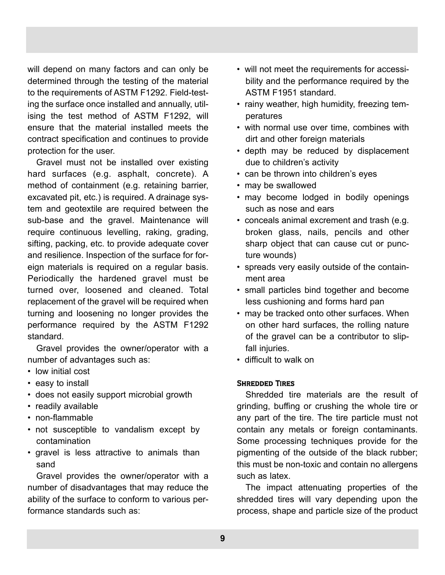will depend on many factors and can only be determined through the testing of the material to the requirements of ASTM F1292. Field-testing the surface once installed and annually, utilising the test method of ASTM F1292, will ensure that the material installed meets the contract specification and continues to provide protection for the user.

Gravel must not be installed over existing hard surfaces (e.g. asphalt, concrete). A method of containment (e.g. retaining barrier, excavated pit, etc.) is required. A drainage system and geotextile are required between the sub-base and the gravel. Maintenance will require continuous levelling, raking, grading, sifting, packing, etc. to provide adequate cover and resilience. Inspection of the surface for foreign materials is required on a regular basis. Periodically the hardened gravel must be turned over, loosened and cleaned. Total replacement of the gravel will be required when turning and loosening no longer provides the performance required by the ASTM F1292 standard.

Gravel provides the owner/operator with a number of advantages such as:

- low initial cost
- easy to install
- does not easily support microbial growth
- readily available
- non-flammable
- not susceptible to vandalism except by contamination
- gravel is less attractive to animals than sand

Gravel provides the owner/operator with a number of disadvantages that may reduce the ability of the surface to conform to various performance standards such as:

- will not meet the requirements for accessibility and the performance required by the ASTM F1951 standard.
- rainy weather, high humidity, freezing temperatures
- with normal use over time, combines with dirt and other foreign materials
- depth may be reduced by displacement due to children's activity
- can be thrown into children's eyes
- may be swallowed
- may become lodged in bodily openings such as nose and ears
- conceals animal excrement and trash (e.g. broken glass, nails, pencils and other sharp object that can cause cut or puncture wounds)
- spreads very easily outside of the containment area
- small particles bind together and become less cushioning and forms hard pan
- may be tracked onto other surfaces. When on other hard surfaces, the rolling nature of the gravel can be a contributor to slipfall injuries.
- difficult to walk on

## Shredded Tires

Shredded tire materials are the result of grinding, buffing or crushing the whole tire or any part of the tire. The tire particle must not contain any metals or foreign contaminants. Some processing techniques provide for the pigmenting of the outside of the black rubber; this must be non-toxic and contain no allergens such as latex.

The impact attenuating properties of the shredded tires will vary depending upon the process, shape and particle size of the product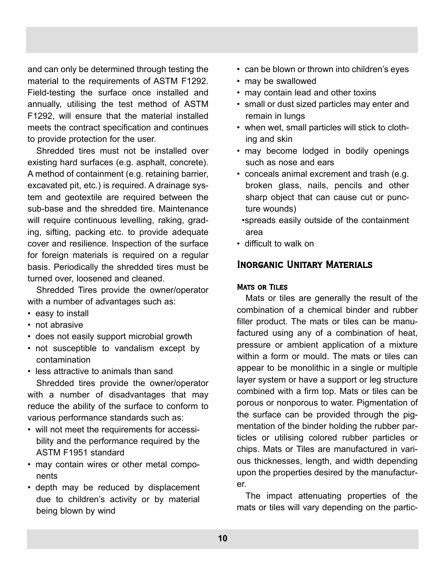and can only be determined through testing the material to the requirements of ASTM F1292. Field-testing the surface once installed and annually, utilising the test method of ASTM F1292, will ensure that the material installed meets the contract specification and continues to provide protection for the user.

Shredded tires must not be installed over existing hard surfaces (e.g. asphalt, concrete). A method of containment (e.g. retaining barrier, excavated pit, etc.) is required. A drainage system and geotextile are required between the sub-base and the shredded tire. Maintenance will require continuous levelling, raking, grading, sifting, packing etc. to provide adequate cover and resilience. Inspection of the surface for foreign materials is required on a regular basis. Periodically the shredded tires must be turned over, loosened and cleaned.

Shredded Tires provide the owner/operator with a number of advantages such as:

- easy to install
- not abrasive
- does not easily support microbial growth
- not susceptible to vandalism except by contamination

• less attractive to animals than sand Shredded tires provide the owner/operator with a number of disadvantages that may reduce the ability of the surface to conform to various performance standards such as:

- will not meet the requirements for accessibility and the performance required by the ASTM F1951 standard
- may contain wires or other metal components
- depth may be reduced by displacement due to children's activity or by material being blown by wind
- can be blown or thrown into children's eyes
- may be swallowed
- may contain lead and other toxins
- small or dust sized particles may enter and remain in lungs
- when wet, small particles will stick to clothing and skin
- may become lodged in bodily openings such as nose and ears
- conceals animal excrement and trash (e.g. broken glass, nails, pencils and other sharp object that can cause cut or puncture wounds)
	- •spreads easily outside of the containment area
- difficult to walk on

## Inorganic Unitary Materials

### Mats or Tiles

Mats or tiles are generally the result of the combination of a chemical binder and rubber filler product. The mats or tiles can be manufactured using any of a combination of heat, pressure or ambient application of a mixture within a form or mould. The mats or tiles can appear to be monolithic in a single or multiple layer system or have a support or leg structure combined with a firm top. Mats or tiles can be porous or nonporous to water. Pigmentation of the surface can be provided through the pigmentation of the binder holding the rubber particles or utilising colored rubber particles or chips. Mats or Tiles are manufactured in various thicknesses, length, and width depending upon the properties desired by the manufacturer.

The impact attenuating properties of the mats or tiles will vary depending on the partic-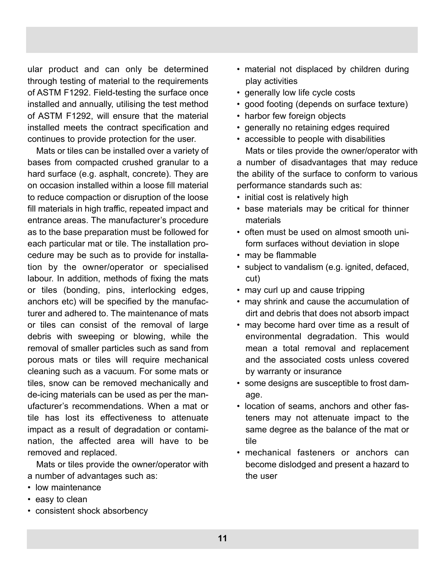ular product and can only be determined through testing of material to the requirements of ASTM F1292. Field-testing the surface once installed and annually, utilising the test method of ASTM F1292, will ensure that the material installed meets the contract specification and continues to provide protection for the user.

Mats or tiles can be installed over a variety of bases from compacted crushed granular to a hard surface (e.g. asphalt, concrete). They are on occasion installed within a loose fill material to reduce compaction or disruption of the loose fill materials in high traffic, repeated impact and entrance areas. The manufacturer's procedure as to the base preparation must be followed for each particular mat or tile. The installation procedure may be such as to provide for installation by the owner/operator or specialised labour. In addition, methods of fixing the mats or tiles (bonding, pins, interlocking edges, anchors etc) will be specified by the manufacturer and adhered to. The maintenance of mats or tiles can consist of the removal of large debris with sweeping or blowing, while the removal of smaller particles such as sand from porous mats or tiles will require mechanical cleaning such as a vacuum. For some mats or tiles, snow can be removed mechanically and de-icing materials can be used as per the manufacturer's recommendations. When a mat or tile has lost its effectiveness to attenuate impact as a result of degradation or contamination, the affected area will have to be removed and replaced.

Mats or tiles provide the owner/operator with a number of advantages such as:

- low maintenance
- easy to clean
- consistent shock absorbency
- material not displaced by children during play activities
- generally low life cycle costs
- good footing (depends on surface texture)
- harbor few foreign objects
- generally no retaining edges required
- accessible to people with disabilities Mats or tiles provide the owner/operator with

a number of disadvantages that may reduce the ability of the surface to conform to various performance standards such as:

- initial cost is relatively high
- base materials may be critical for thinner materials
- often must be used on almost smooth uniform surfaces without deviation in slope
- may be flammable
- subject to vandalism (e.g. ignited, defaced, cut)
- may curl up and cause tripping
- may shrink and cause the accumulation of dirt and debris that does not absorb impact
- may become hard over time as a result of environmental degradation. This would mean a total removal and replacement and the associated costs unless covered by warranty or insurance
- some designs are susceptible to frost damage.
- location of seams, anchors and other fasteners may not attenuate impact to the same degree as the balance of the mat or tile
- mechanical fasteners or anchors can become dislodged and present a hazard to the user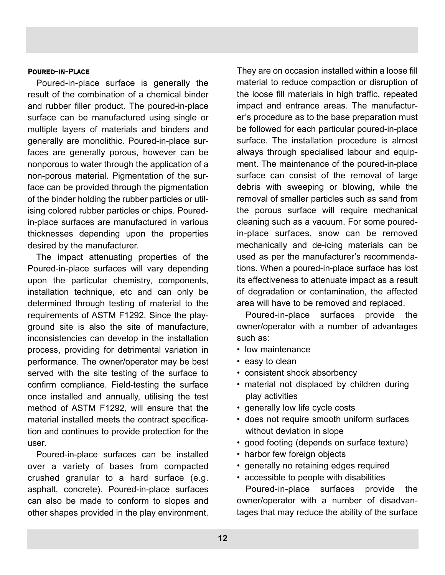#### Poured-in-Place

Poured-in-place surface is generally the result of the combination of a chemical binder and rubber filler product. The poured-in-place surface can be manufactured using single or multiple layers of materials and binders and generally are monolithic. Poured-in-place surfaces are generally porous, however can be nonporous to water through the application of a non-porous material. Pigmentation of the surface can be provided through the pigmentation of the binder holding the rubber particles or utilising colored rubber particles or chips. Pouredin-place surfaces are manufactured in various thicknesses depending upon the properties desired by the manufacturer.

The impact attenuating properties of the Poured-in-place surfaces will vary depending upon the particular chemistry, components, installation technique, etc and can only be determined through testing of material to the requirements of ASTM F1292. Since the playground site is also the site of manufacture, inconsistencies can develop in the installation process, providing for detrimental variation in performance. The owner/operator may be best served with the site testing of the surface to confirm compliance. Field-testing the surface once installed and annually, utilising the test method of ASTM F1292, will ensure that the material installed meets the contract specification and continues to provide protection for the user.

Poured-in-place surfaces can be installed over a variety of bases from compacted crushed granular to a hard surface (e.g. asphalt, concrete). Poured-in-place surfaces can also be made to conform to slopes and other shapes provided in the play environment.

They are on occasion installed within a loose fill material to reduce compaction or disruption of the loose fill materials in high traffic, repeated impact and entrance areas. The manufacturer's procedure as to the base preparation must be followed for each particular poured-in-place surface. The installation procedure is almost always through specialised labour and equipment. The maintenance of the poured-in-place surface can consist of the removal of large debris with sweeping or blowing, while the removal of smaller particles such as sand from the porous surface will require mechanical cleaning such as a vacuum. For some pouredin-place surfaces, snow can be removed mechanically and de-icing materials can be used as per the manufacturer's recommendations. When a poured-in-place surface has lost its effectiveness to attenuate impact as a result of degradation or contamination, the affected area will have to be removed and replaced.

Poured-in-place surfaces provide the owner/operator with a number of advantages such as:

- low maintenance
- easy to clean
- consistent shock absorbency
- material not displaced by children during play activities
- generally low life cycle costs
- does not require smooth uniform surfaces without deviation in slope
- good footing (depends on surface texture)
- harbor few foreign objects
- generally no retaining edges required
- accessible to people with disabilities

Poured-in-place surfaces provide the owner/operator with a number of disadvantages that may reduce the ability of the surface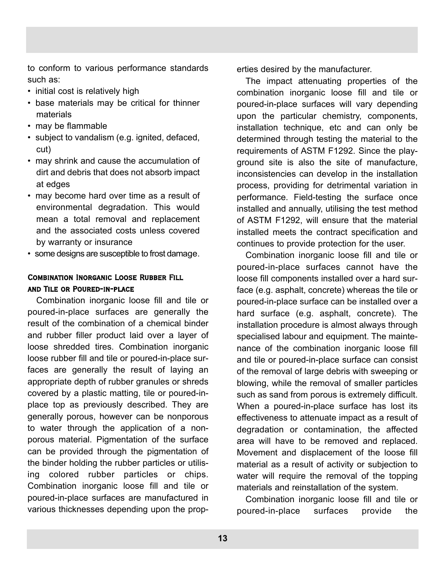to conform to various performance standards such as:

- initial cost is relatively high
- base materials may be critical for thinner materials
- may be flammable
- subject to vandalism (e.g. ignited, defaced, cut)
- may shrink and cause the accumulation of dirt and debris that does not absorb impact at edges
- may become hard over time as a result of environmental degradation. This would mean a total removal and replacement and the associated costs unless covered by warranty or insurance
- some designs are susceptible to frost damage.

## Combination Inorganic Loose Rubber Fill and Tile or Poured-in-place

Combination inorganic loose fill and tile or poured-in-place surfaces are generally the result of the combination of a chemical binder and rubber filler product laid over a layer of loose shredded tires. Combination inorganic loose rubber fill and tile or poured-in-place surfaces are generally the result of laying an appropriate depth of rubber granules or shreds covered by a plastic matting, tile or poured-inplace top as previously described. They are generally porous, however can be nonporous to water through the application of a nonporous material. Pigmentation of the surface can be provided through the pigmentation of the binder holding the rubber particles or utilising colored rubber particles or chips. Combination inorganic loose fill and tile or poured-in-place surfaces are manufactured in various thicknesses depending upon the properties desired by the manufacturer.

The impact attenuating properties of the combination inorganic loose fill and tile or poured-in-place surfaces will vary depending upon the particular chemistry, components, installation technique, etc and can only be determined through testing the material to the requirements of ASTM F1292. Since the playground site is also the site of manufacture, inconsistencies can develop in the installation process, providing for detrimental variation in performance. Field-testing the surface once installed and annually, utilising the test method of ASTM F1292, will ensure that the material installed meets the contract specification and continues to provide protection for the user.

Combination inorganic loose fill and tile or poured-in-place surfaces cannot have the loose fill components installed over a hard surface (e.g. asphalt, concrete) whereas the tile or poured-in-place surface can be installed over a hard surface (e.g. asphalt, concrete). The installation procedure is almost always through specialised labour and equipment. The maintenance of the combination inorganic loose fill and tile or poured-in-place surface can consist of the removal of large debris with sweeping or blowing, while the removal of smaller particles such as sand from porous is extremely difficult. When a poured-in-place surface has lost its effectiveness to attenuate impact as a result of degradation or contamination, the affected area will have to be removed and replaced. Movement and displacement of the loose fill material as a result of activity or subjection to water will require the removal of the topping materials and reinstallation of the system.

Combination inorganic loose fill and tile or poured-in-place surfaces provide the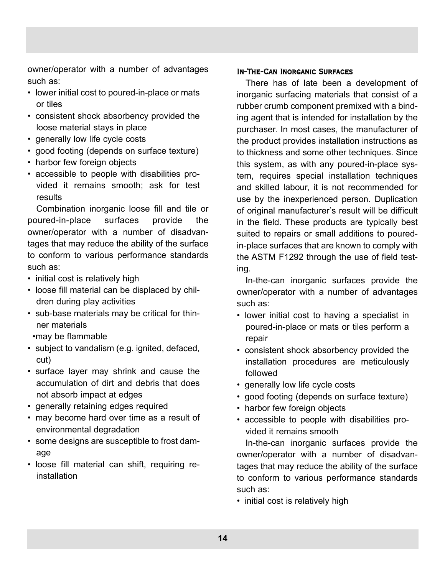owner/operator with a number of advantages such as:

- lower initial cost to poured-in-place or mats or tiles
- consistent shock absorbency provided the loose material stays in place
- generally low life cycle costs
- good footing (depends on surface texture)
- harbor few foreign objects
- accessible to people with disabilities provided it remains smooth; ask for test results

Combination inorganic loose fill and tile or poured-in-place surfaces provide the owner/operator with a number of disadvantages that may reduce the ability of the surface to conform to various performance standards such as:

- initial cost is relatively high
- loose fill material can be displaced by children during play activities
- sub-base materials may be critical for thinner materials
	- •may be flammable
- subject to vandalism (e.g. ignited, defaced, cut)
- surface layer may shrink and cause the accumulation of dirt and debris that does not absorb impact at edges
- generally retaining edges required
- may become hard over time as a result of environmental degradation
- some designs are susceptible to frost damage
- loose fill material can shift, requiring reinstallation

## In-The-Can Inorganic Surfaces

There has of late been a development of inorganic surfacing materials that consist of a rubber crumb component premixed with a binding agent that is intended for installation by the purchaser. In most cases, the manufacturer of the product provides installation instructions as to thickness and some other techniques. Since this system, as with any poured-in-place system, requires special installation techniques and skilled labour, it is not recommended for use by the inexperienced person. Duplication of original manufacturer's result will be difficult in the field. These products are typically best suited to repairs or small additions to pouredin-place surfaces that are known to comply with the ASTM F1292 through the use of field testing.

In-the-can inorganic surfaces provide the owner/operator with a number of advantages such as:

- lower initial cost to having a specialist in poured-in-place or mats or tiles perform a repair
- consistent shock absorbency provided the installation procedures are meticulously followed
- generally low life cycle costs
- good footing (depends on surface texture)
- harbor few foreign objects
- accessible to people with disabilities provided it remains smooth

In-the-can inorganic surfaces provide the owner/operator with a number of disadvantages that may reduce the ability of the surface to conform to various performance standards such as:

• initial cost is relatively high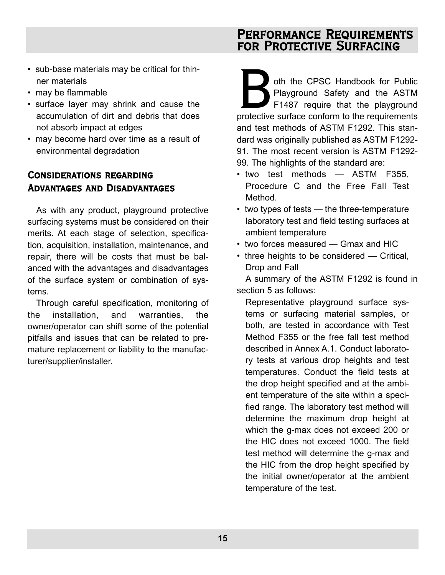## Performance Requirements for Protective Surfacing

- sub-base materials may be critical for thinner materials
- may be flammable
- surface layer may shrink and cause the accumulation of dirt and debris that does not absorb impact at edges
- may become hard over time as a result of environmental degradation

## Considerations regarding Advantages and Disadvantages

As with any product, playground protective surfacing systems must be considered on their merits. At each stage of selection, specification, acquisition, installation, maintenance, and repair, there will be costs that must be balanced with the advantages and disadvantages of the surface system or combination of systems.

Through careful specification, monitoring of the installation, and warranties, the owner/operator can shift some of the potential pitfalls and issues that can be related to premature replacement or liability to the manufacturer/supplier/installer.

oth the CPSC Handbook for Public<br>Playground Safety and the ASTM<br>F1487 require that the playground<br>protective surface conform to the requirements Playground Safety and the ASTM F1487 require that the playground protective surface conform to the requirements and test methods of ASTM F1292. This standard was originally published as ASTM F1292- 91. The most recent version is ASTM F1292- 99. The highlights of the standard are:

- two test methods ASTM F355, Procedure C and the Free Fall Test Method.
- two types of tests the three-temperature laboratory test and field testing surfaces at ambient temperature
- two forces measured Gmax and HIC
- three heights to be considered Critical, Drop and Fall

A summary of the ASTM F1292 is found in section 5 as follows:

Representative playground surface systems or surfacing material samples, or both, are tested in accordance with Test Method F355 or the free fall test method described in Annex A.1. Conduct laboratory tests at various drop heights and test temperatures. Conduct the field tests at the drop height specified and at the ambient temperature of the site within a specified range. The laboratory test method will determine the maximum drop height at which the g-max does not exceed 200 or the HIC does not exceed 1000. The field test method will determine the g-max and the HIC from the drop height specified by the initial owner/operator at the ambient temperature of the test.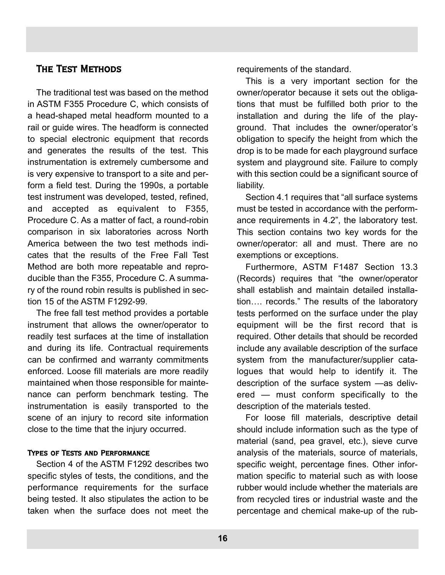## The Test Methods

The traditional test was based on the method in ASTM F355 Procedure C, which consists of a head-shaped metal headform mounted to a rail or guide wires. The headform is connected to special electronic equipment that records and generates the results of the test. This instrumentation is extremely cumbersome and is very expensive to transport to a site and perform a field test. During the 1990s, a portable test instrument was developed, tested, refined, and accepted as equivalent to F355, Procedure C. As a matter of fact, a round-robin comparison in six laboratories across North America between the two test methods indicates that the results of the Free Fall Test Method are both more repeatable and reproducible than the F355, Procedure C. A summary of the round robin results is published in section 15 of the ASTM F1292-99.

The free fall test method provides a portable instrument that allows the owner/operator to readily test surfaces at the time of installation and during its life. Contractual requirements can be confirmed and warranty commitments enforced. Loose fill materials are more readily maintained when those responsible for maintenance can perform benchmark testing. The instrumentation is easily transported to the scene of an injury to record site information close to the time that the injury occurred.

#### Types of Tests and Performance

Section 4 of the ASTM F1292 describes two specific styles of tests, the conditions, and the performance requirements for the surface being tested. It also stipulates the action to be taken when the surface does not meet the requirements of the standard.

This is a very important section for the owner/operator because it sets out the obligations that must be fulfilled both prior to the installation and during the life of the playground. That includes the owner/operator's obligation to specify the height from which the drop is to be made for each playground surface system and playground site. Failure to comply with this section could be a significant source of liability.

Section 4.1 requires that "all surface systems must be tested in accordance with the performance requirements in 4.2", the laboratory test. This section contains two key words for the owner/operator: all and must. There are no exemptions or exceptions.

Furthermore, ASTM F1487 Section 13.3 (Records) requires that "the owner/operator shall establish and maintain detailed installation…. records." The results of the laboratory tests performed on the surface under the play equipment will be the first record that is required. Other details that should be recorded include any available description of the surface system from the manufacturer/supplier catalogues that would help to identify it. The description of the surface system —as delivered — must conform specifically to the description of the materials tested.

For loose fill materials, descriptive detail should include information such as the type of material (sand, pea gravel, etc.), sieve curve analysis of the materials, source of materials, specific weight, percentage fines. Other information specific to material such as with loose rubber would include whether the materials are from recycled tires or industrial waste and the percentage and chemical make-up of the rub-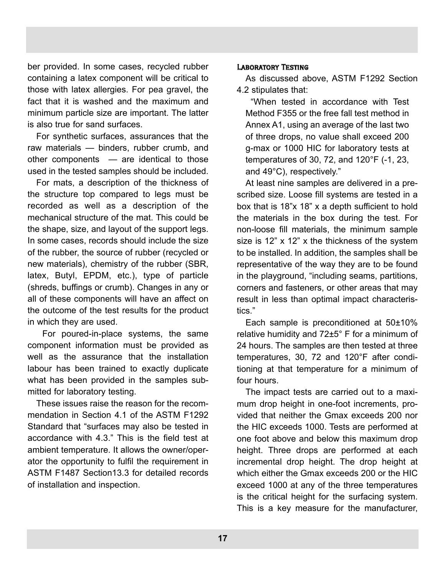ber provided. In some cases, recycled rubber containing a latex component will be critical to those with latex allergies. For pea gravel, the fact that it is washed and the maximum and minimum particle size are important. The latter is also true for sand surfaces.

For synthetic surfaces, assurances that the raw materials — binders, rubber crumb, and other components — are identical to those used in the tested samples should be included.

For mats, a description of the thickness of the structure top compared to legs must be recorded as well as a description of the mechanical structure of the mat. This could be the shape, size, and layout of the support legs. In some cases, records should include the size of the rubber, the source of rubber (recycled or new materials), chemistry of the rubber (SBR, latex, Butyl, EPDM, etc.), type of particle (shreds, buffings or crumb). Changes in any or all of these components will have an affect on the outcome of the test results for the product in which they are used.

For poured-in-place systems, the same component information must be provided as well as the assurance that the installation labour has been trained to exactly duplicate what has been provided in the samples submitted for laboratory testing.

These issues raise the reason for the recommendation in Section 4.1 of the ASTM F1292 Standard that "surfaces may also be tested in accordance with 4.3." This is the field test at ambient temperature. It allows the owner/operator the opportunity to fulfil the requirement in ASTM F1487 Section13.3 for detailed records of installation and inspection.

### Laboratory Testing

As discussed above, ASTM F1292 Section 4.2 stipulates that:

"When tested in accordance with Test Method F355 or the free fall test method in Annex A1, using an average of the last two of three drops, no value shall exceed 200 g-max or 1000 HIC for laboratory tests at temperatures of 30, 72, and 120°F (-1, 23, and 49°C), respectively."

At least nine samples are delivered in a prescribed size. Loose fill systems are tested in a box that is 18"x 18" x a depth sufficient to hold the materials in the box during the test. For non-loose fill materials, the minimum sample size is 12" x 12" x the thickness of the system to be installed. In addition, the samples shall be representative of the way they are to be found in the playground, "including seams, partitions, corners and fasteners, or other areas that may result in less than optimal impact characteristics."

Each sample is preconditioned at 50±10% relative humidity and 72±5° F for a minimum of 24 hours. The samples are then tested at three temperatures, 30, 72 and 120°F after conditioning at that temperature for a minimum of four hours.

The impact tests are carried out to a maximum drop height in one-foot increments, provided that neither the Gmax exceeds 200 nor the HIC exceeds 1000. Tests are performed at one foot above and below this maximum drop height. Three drops are performed at each incremental drop height. The drop height at which either the Gmax exceeds 200 or the HIC exceed 1000 at any of the three temperatures is the critical height for the surfacing system. This is a key measure for the manufacturer,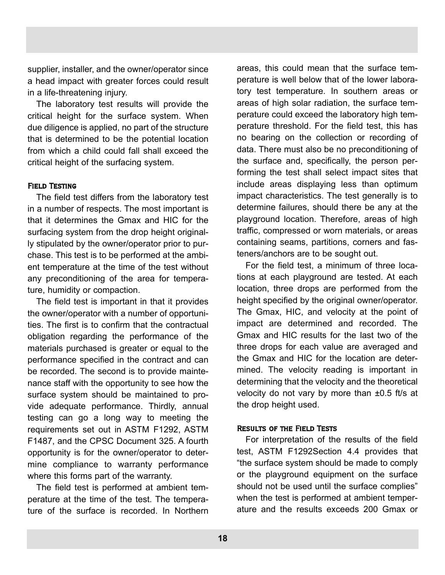supplier, installer, and the owner/operator since a head impact with greater forces could result in a life-threatening injury.

The laboratory test results will provide the critical height for the surface system. When due diligence is applied, no part of the structure that is determined to be the potential location from which a child could fall shall exceed the critical height of the surfacing system.

#### Field Testing

The field test differs from the laboratory test in a number of respects. The most important is that it determines the Gmax and HIC for the surfacing system from the drop height originally stipulated by the owner/operator prior to purchase. This test is to be performed at the ambient temperature at the time of the test without any preconditioning of the area for temperature, humidity or compaction.

The field test is important in that it provides the owner/operator with a number of opportunities. The first is to confirm that the contractual obligation regarding the performance of the materials purchased is greater or equal to the performance specified in the contract and can be recorded. The second is to provide maintenance staff with the opportunity to see how the surface system should be maintained to provide adequate performance. Thirdly, annual testing can go a long way to meeting the requirements set out in ASTM F1292, ASTM F1487, and the CPSC Document 325. A fourth opportunity is for the owner/operator to determine compliance to warranty performance where this forms part of the warranty.

The field test is performed at ambient temperature at the time of the test. The temperature of the surface is recorded. In Northern areas, this could mean that the surface temperature is well below that of the lower laboratory test temperature. In southern areas or areas of high solar radiation, the surface temperature could exceed the laboratory high temperature threshold. For the field test, this has no bearing on the collection or recording of data. There must also be no preconditioning of the surface and, specifically, the person performing the test shall select impact sites that include areas displaying less than optimum impact characteristics. The test generally is to determine failures, should there be any at the playground location. Therefore, areas of high traffic, compressed or worn materials, or areas containing seams, partitions, corners and fasteners/anchors are to be sought out.

For the field test, a minimum of three locations at each playground are tested. At each location, three drops are performed from the height specified by the original owner/operator. The Gmax, HIC, and velocity at the point of impact are determined and recorded. The Gmax and HIC results for the last two of the three drops for each value are averaged and the Gmax and HIC for the location are determined. The velocity reading is important in determining that the velocity and the theoretical velocity do not vary by more than ±0.5 ft/s at the drop height used.

#### Results of the Field Tests

For interpretation of the results of the field test, ASTM F1292Section 4.4 provides that "the surface system should be made to comply or the playground equipment on the surface should not be used until the surface complies" when the test is performed at ambient temperature and the results exceeds 200 Gmax or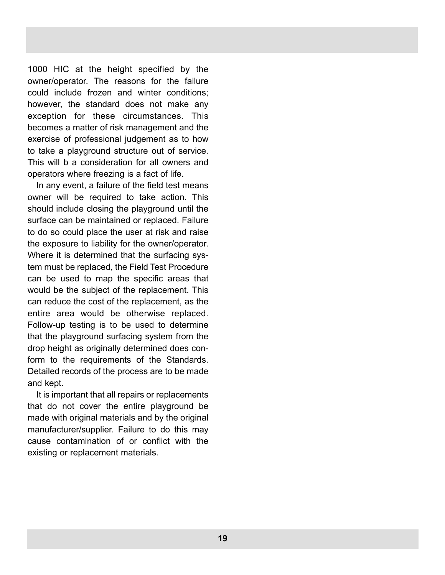1000 HIC at the height specified by the owner/operator. The reasons for the failure could include frozen and winter conditions; however, the standard does not make any exception for these circumstances. This becomes a matter of risk management and the exercise of professional judgement as to how to take a playground structure out of service. This will b a consideration for all owners and operators where freezing is a fact of life.

In any event, a failure of the field test means owner will be required to take action. This should include closing the playground until the surface can be maintained or replaced. Failure to do so could place the user at risk and raise the exposure to liability for the owner/operator. Where it is determined that the surfacing system must be replaced, the Field Test Procedure can be used to map the specific areas that would be the subject of the replacement. This can reduce the cost of the replacement, as the entire area would be otherwise replaced. Follow-up testing is to be used to determine that the playground surfacing system from the drop height as originally determined does conform to the requirements of the Standards. Detailed records of the process are to be made and kept.

It is important that all repairs or replacements that do not cover the entire playground be made with original materials and by the original manufacturer/supplier. Failure to do this may cause contamination of or conflict with the existing or replacement materials.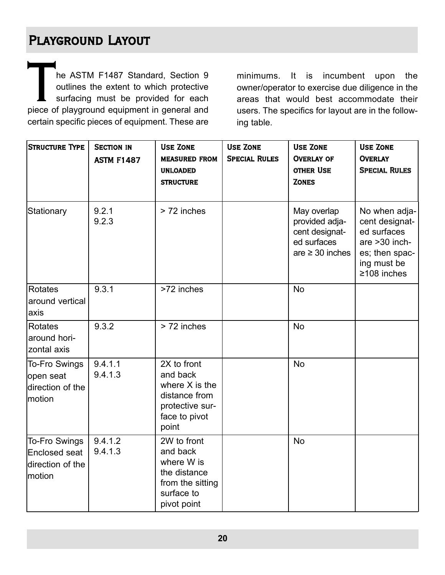# Playground Layout

THE CHE CALC THE CALC TRACK OF THE CAST OF THE ASTM F1487 Standard, Section 9<br>
piece of playground equipment in general and<br>
piece of playground equipment in general and outlines the extent to which protective surfacing must be provided for each certain specific pieces of equipment. These are

minimums. It is incumbent upon the owner/operator to exercise due diligence in the areas that would best accommodate their users. The specifics for layout are in the following table.

| Structure Type                                                      | <b>SECTION IN</b><br><b>ASTM F1487</b> | <b>USE ZONE</b><br><b>MEASURED FROM</b><br><b>UNLOADED</b><br><b>STRUCTURE</b>                            | <b>USE ZONE</b><br><b>SPECIAL RULES</b> | <b>USE ZONE</b><br><b>OVERLAY OF</b><br><b>OTHER USE</b><br><b>ZONES</b>               | <b>USE ZONE</b><br><b>OVERLAY</b><br><b>SPECIAL RULES</b>                                                             |
|---------------------------------------------------------------------|----------------------------------------|-----------------------------------------------------------------------------------------------------------|-----------------------------------------|----------------------------------------------------------------------------------------|-----------------------------------------------------------------------------------------------------------------------|
| Stationary                                                          | 9.2.1<br>9.2.3                         | > 72 inches                                                                                               |                                         | May overlap<br>provided adja-<br>cent designat-<br>ed surfaces<br>$are \geq 30$ inches | No when adja-<br>cent designat-<br>ed surfaces<br>are >30 inch-<br>es; then spac-<br>ing must be<br>$\geq$ 108 inches |
| <b>Rotates</b><br>around vertical<br>axis                           | 9.3.1                                  | >72 inches                                                                                                |                                         | <b>No</b>                                                                              |                                                                                                                       |
| Rotates<br>around hori-<br><b>zontal</b> axis                       | 9.3.2                                  | > 72 inches                                                                                               |                                         | <b>No</b>                                                                              |                                                                                                                       |
| <b>To-Fro Swings</b><br>open seat<br>ldirection of the<br>motion    | 9.4.1.1<br>9.4.1.3                     | 2X to front<br>and back<br>where $X$ is the<br>distance from<br>protective sur-<br>face to pivot<br>point |                                         | <b>No</b>                                                                              |                                                                                                                       |
| <b>To-Fro Swings</b><br>Enclosed seat<br>direction of the<br>motion | 9.4.1.2<br>9.4.1.3                     | 2W to front<br>and back<br>where W is<br>the distance<br>from the sitting<br>surface to<br>pivot point    |                                         | <b>No</b>                                                                              |                                                                                                                       |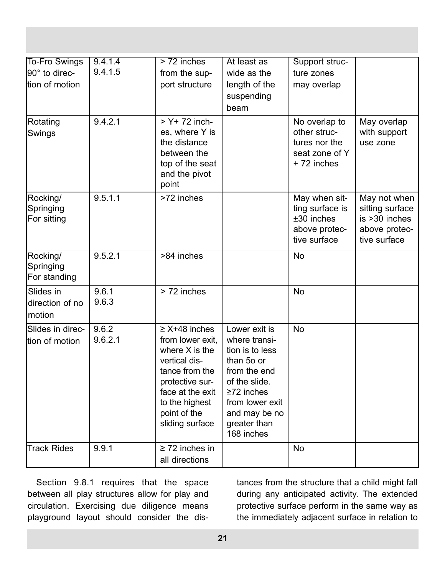| <b>To-Fro Swings</b><br>90° to direc-<br>tion of motion | 9.4.1.4<br>9.4.1.5 | $> 72$ inches<br>from the sup-<br>port structure                                                                                                                                          | At least as<br>wide as the<br>length of the<br>suspending<br>beam                                                                                                                      | Support struc-<br>ture zones<br>may overlap                                     |                                                                                      |
|---------------------------------------------------------|--------------------|-------------------------------------------------------------------------------------------------------------------------------------------------------------------------------------------|----------------------------------------------------------------------------------------------------------------------------------------------------------------------------------------|---------------------------------------------------------------------------------|--------------------------------------------------------------------------------------|
| Rotating<br>Swings                                      | 9.4.2.1            | $> Y+ 72$ inch-<br>es, where Y is<br>the distance<br>between the<br>top of the seat<br>and the pivot<br>point                                                                             |                                                                                                                                                                                        | No overlap to<br>other struc-<br>tures nor the<br>seat zone of Y<br>+72 inches  | May overlap<br>with support<br>use zone                                              |
| Rocking/<br>Springing<br>For sitting                    | 9.5.1.1            | >72 inches                                                                                                                                                                                |                                                                                                                                                                                        | May when sit-<br>ting surface is<br>±30 inches<br>above protec-<br>tive surface | May not when<br>sitting surface<br>$is > 30$ inches<br>above protec-<br>tive surface |
| Rocking/<br>Springing<br>For standing                   | 9.5.2.1            | >84 inches                                                                                                                                                                                |                                                                                                                                                                                        | <b>No</b>                                                                       |                                                                                      |
| Slides in<br>direction of no<br>motion                  | 9.6.1<br>9.6.3     | > 72 inches                                                                                                                                                                               |                                                                                                                                                                                        | <b>No</b>                                                                       |                                                                                      |
| Slides in direc-<br>tion of motion                      | 9.6.2<br>9.6.2.1   | $\geq$ X+48 inches<br>from lower exit,<br>where $X$ is the<br>vertical dis-<br>tance from the<br>protective sur-<br>face at the exit<br>to the highest<br>point of the<br>sliding surface | Lower exit is<br>where transi-<br>tion is to less<br>than 50 or<br>from the end<br>of the slide.<br>$\geq$ 72 inches<br>from lower exit<br>and may be no<br>greater than<br>168 inches | <b>No</b>                                                                       |                                                                                      |
| <b>Track Rides</b>                                      | 9.9.1              | $\geq$ 72 inches in<br>all directions                                                                                                                                                     |                                                                                                                                                                                        | <b>No</b>                                                                       |                                                                                      |

Section 9.8.1 requires that the space between all play structures allow for play and circulation. Exercising due diligence means playground layout should consider the distances from the structure that a child might fall during any anticipated activity. The extended protective surface perform in the same way as the immediately adjacent surface in relation to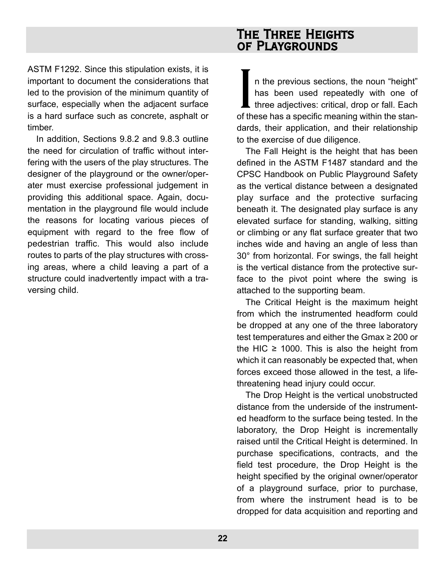ASTM F1292. Since this stipulation exists, it is important to document the considerations that led to the provision of the minimum quantity of surface, especially when the adjacent surface is a hard surface such as concrete, asphalt or timber.

In addition, Sections 9.8.2 and 9.8.3 outline the need for circulation of traffic without interfering with the users of the play structures. The designer of the playground or the owner/operater must exercise professional judgement in providing this additional space. Again, documentation in the playground file would include the reasons for locating various pieces of equipment with regard to the free flow of pedestrian traffic. This would also include routes to parts of the play structures with crossing areas, where a child leaving a part of a structure could inadvertently impact with a traversing child.

## The Three Heights of Playgrounds

In the previous sections, the noun "height"<br>has been used repeatedly with one of<br>three adjectives: critical, drop or fall. Each<br>of these has a specific meaning within the stann the previous sections, the noun "height" has been used repeatedly with one of  $\blacksquare$  three adjectives: critical, drop or fall. Each dards, their application, and their relationship to the exercise of due diligence.

The Fall Height is the height that has been defined in the ASTM F1487 standard and the CPSC Handbook on Public Playground Safety as the vertical distance between a designated play surface and the protective surfacing beneath it. The designated play surface is any elevated surface for standing, walking, sitting or climbing or any flat surface greater that two inches wide and having an angle of less than 30° from horizontal. For swings, the fall height is the vertical distance from the protective surface to the pivot point where the swing is attached to the supporting beam.

The Critical Height is the maximum height from which the instrumented headform could be dropped at any one of the three laboratory test temperatures and either the Gmax ≥ 200 or the HIC  $\geq$  1000. This is also the height from which it can reasonably be expected that, when forces exceed those allowed in the test, a lifethreatening head injury could occur.

The Drop Height is the vertical unobstructed distance from the underside of the instrumented headform to the surface being tested. In the laboratory, the Drop Height is incrementally raised until the Critical Height is determined. In purchase specifications, contracts, and the field test procedure, the Drop Height is the height specified by the original owner/operator of a playground surface, prior to purchase, from where the instrument head is to be dropped for data acquisition and reporting and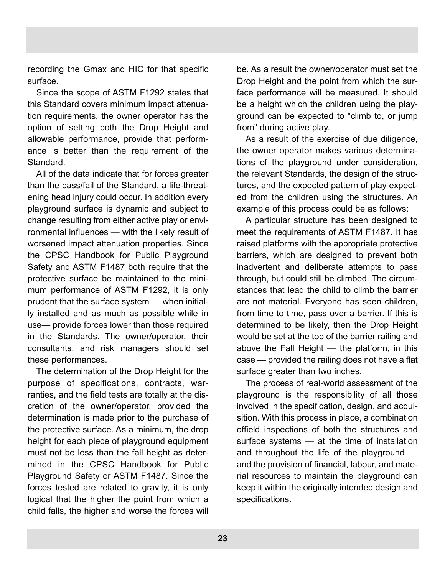recording the Gmax and HIC for that specific surface.

Since the scope of ASTM F1292 states that this Standard covers minimum impact attenuation requirements, the owner operator has the option of setting both the Drop Height and allowable performance, provide that performance is better than the requirement of the Standard.

All of the data indicate that for forces greater than the pass/fail of the Standard, a life-threatening head injury could occur. In addition every playground surface is dynamic and subject to change resulting from either active play or environmental influences — with the likely result of worsened impact attenuation properties. Since the CPSC Handbook for Public Playground Safety and ASTM F1487 both require that the protective surface be maintained to the minimum performance of ASTM F1292, it is only prudent that the surface system — when initially installed and as much as possible while in use— provide forces lower than those required in the Standards. The owner/operator, their consultants, and risk managers should set these performances.

The determination of the Drop Height for the purpose of specifications, contracts, warranties, and the field tests are totally at the discretion of the owner/operator, provided the determination is made prior to the purchase of the protective surface. As a minimum, the drop height for each piece of playground equipment must not be less than the fall height as determined in the CPSC Handbook for Public Playground Safety or ASTM F1487. Since the forces tested are related to gravity, it is only logical that the higher the point from which a child falls, the higher and worse the forces will be. As a result the owner/operator must set the Drop Height and the point from which the surface performance will be measured. It should be a height which the children using the playground can be expected to "climb to, or jump from" during active play.

As a result of the exercise of due diligence, the owner operator makes various determinations of the playground under consideration, the relevant Standards, the design of the structures, and the expected pattern of play expected from the children using the structures. An example of this process could be as follows:

A particular structure has been designed to meet the requirements of ASTM F1487. It has raised platforms with the appropriate protective barriers, which are designed to prevent both inadvertent and deliberate attempts to pass through, but could still be climbed. The circumstances that lead the child to climb the barrier are not material. Everyone has seen children, from time to time, pass over a barrier. If this is determined to be likely, then the Drop Height would be set at the top of the barrier railing and above the Fall Height — the platform, in this case — provided the railing does not have a flat surface greater than two inches.

The process of real-world assessment of the playground is the responsibility of all those involved in the specification, design, and acquisition. With this process in place, a combination offield inspections of both the structures and surface systems — at the time of installation and throughout the life of the playground and the provision of financial, labour, and material resources to maintain the playground can keep it within the originally intended design and specifications.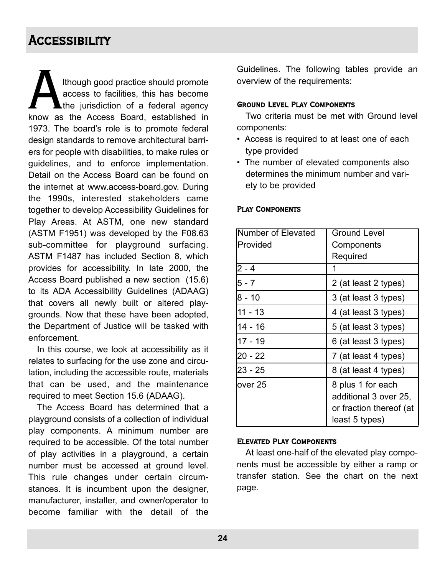# **ACCESSIBILITY**

Although good practice should promote<br>access to facilities, this has become<br>know as the Access Board, established in access to facilities, this has become the jurisdiction of a federal agency 1973. The board's role is to promote federal design standards to remove architectural barriers for people with disabilities, to make rules or guidelines, and to enforce implementation. Detail on the Access Board can be found on the internet at www.access-board.gov. During the 1990s, interested stakeholders came together to develop Accessibility Guidelines for Play Areas. At ASTM, one new standard (ASTM F1951) was developed by the F08.63 sub-committee for playground surfacing. ASTM F1487 has included Section 8, which provides for accessibility. In late 2000, the Access Board published a new section (15.6) to its ADA Accessibility Guidelines (ADAAG) that covers all newly built or altered playgrounds. Now that these have been adopted, the Department of Justice will be tasked with enforcement.

In this course, we look at accessibility as it relates to surfacing for the use zone and circulation, including the accessible route, materials that can be used, and the maintenance required to meet Section 15.6 (ADAAG).

The Access Board has determined that a playground consists of a collection of individual play components. A minimum number are required to be accessible. Of the total number of play activities in a playground, a certain number must be accessed at ground level. This rule changes under certain circumstances. It is incumbent upon the designer, manufacturer, installer, and owner/operator to become familiar with the detail of the

Guidelines. The following tables provide an overview of the requirements:

#### Ground Level Play Components

Two criteria must be met with Ground level components:

- Access is required to at least one of each type provided
- The number of elevated components also determines the minimum number and variety to be provided

| Number of Elevated | <b>Ground Level</b>                                                                     |  |  |  |  |  |
|--------------------|-----------------------------------------------------------------------------------------|--|--|--|--|--|
| Provided           | Components                                                                              |  |  |  |  |  |
|                    | Required                                                                                |  |  |  |  |  |
| $2 - 4$            | 1                                                                                       |  |  |  |  |  |
| $5 - 7$            | 2 (at least 2 types)                                                                    |  |  |  |  |  |
| $8 - 10$           | 3 (at least 3 types)                                                                    |  |  |  |  |  |
| $11 - 13$          | 4 (at least 3 types)                                                                    |  |  |  |  |  |
| $14 - 16$          | 5 (at least 3 types)                                                                    |  |  |  |  |  |
| $17 - 19$          | 6 (at least 3 types)                                                                    |  |  |  |  |  |
| $20 - 22$          | 7 (at least 4 types)                                                                    |  |  |  |  |  |
| 23 - 25            | 8 (at least 4 types)                                                                    |  |  |  |  |  |
| over 25            | 8 plus 1 for each<br>additional 3 over 25,<br>or fraction thereof (at<br>least 5 types) |  |  |  |  |  |

#### Play Components

#### Elevated Play Components

At least one-half of the elevated play components must be accessible by either a ramp or transfer station. See the chart on the next page.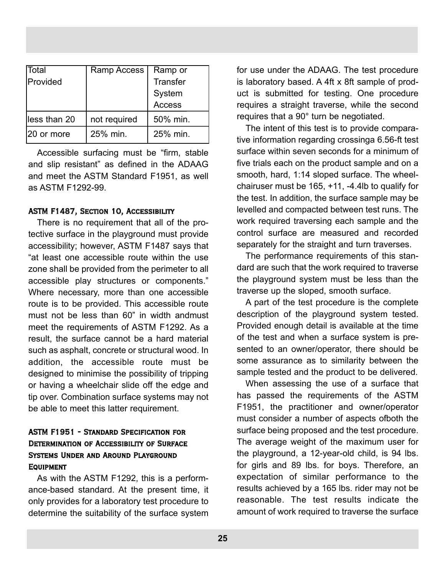| Total        | Ramp Access  | Ramp or         |
|--------------|--------------|-----------------|
| Provided     |              | <b>Transfer</b> |
|              |              | System          |
|              |              | <b>Access</b>   |
| less than 20 | not required | 50% min.        |
| 20 or more   | 25% min.     | 25% min.        |

Accessible surfacing must be "firm, stable and slip resistant" as defined in the ADAAG and meet the ASTM Standard F1951, as well as ASTM F1292-99.

#### ASTM F1487, Section 10, Accessibility

There is no requirement that all of the protective surface in the playground must provide accessibility; however, ASTM F1487 says that "at least one accessible route within the use zone shall be provided from the perimeter to all accessible play structures or components." Where necessary, more than one accessible route is to be provided. This accessible route must not be less than 60" in width andmust meet the requirements of ASTM F1292. As a result, the surface cannot be a hard material such as asphalt, concrete or structural wood. In addition, the accessible route must be designed to minimise the possibility of tripping or having a wheelchair slide off the edge and tip over. Combination surface systems may not be able to meet this latter requirement.

## ASTM F1951 - Standard Specification for Determination of Accessibility of Surface Systems Under and Around Playground **EQUIPMENT**

As with the ASTM F1292, this is a performance-based standard. At the present time, it only provides for a laboratory test procedure to determine the suitability of the surface system

for use under the ADAAG. The test procedure is laboratory based. A 4ft x 8ft sample of product is submitted for testing. One procedure requires a straight traverse, while the second requires that a 90° turn be negotiated.

The intent of this test is to provide comparative information regarding crossinga 6.56-ft test surface within seven seconds for a minimum of five trials each on the product sample and on a smooth, hard, 1:14 sloped surface. The wheelchairuser must be 165, +11, -4.4lb to qualify for the test. In addition, the surface sample may be levelled and compacted between test runs. The work required traversing each sample and the control surface are measured and recorded separately for the straight and turn traverses.

The performance requirements of this standard are such that the work required to traverse the playground system must be less than the traverse up the sloped, smooth surface.

A part of the test procedure is the complete description of the playground system tested. Provided enough detail is available at the time of the test and when a surface system is presented to an owner/operator, there should be some assurance as to similarity between the sample tested and the product to be delivered.

When assessing the use of a surface that has passed the requirements of the ASTM F1951, the practitioner and owner/operator must consider a number of aspects ofboth the surface being proposed and the test procedure. The average weight of the maximum user for the playground, a 12-year-old child, is 94 lbs. for girls and 89 lbs. for boys. Therefore, an expectation of similar performance to the results achieved by a 165 lbs. rider may not be reasonable. The test results indicate the amount of work required to traverse the surface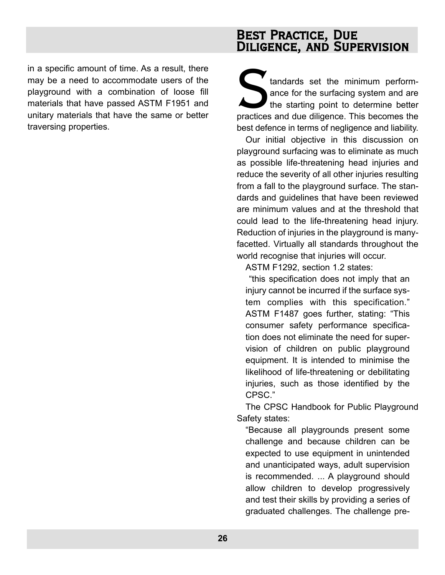in a specific amount of time. As a result, there may be a need to accommodate users of the playground with a combination of loose fill materials that have passed ASTM F1951 and unitary materials that have the same or better traversing properties.

## Best Practice, Due DILIGENCE, AND SUPERVISION

Extendants set the minimum perform-<br>ance for the surfacing system and are<br>the starting point to determine better<br>practices and due diligence. This becomes the ance for the surfacing system and are the starting point to determine better practices and due diligence. This becomes the best defence in terms of negligence and liability.

Our initial objective in this discussion on playground surfacing was to eliminate as much as possible life-threatening head injuries and reduce the severity of all other injuries resulting from a fall to the playground surface. The standards and guidelines that have been reviewed are minimum values and at the threshold that could lead to the life-threatening head injury. Reduction of injuries in the playground is manyfacetted. Virtually all standards throughout the world recognise that injuries will occur.

ASTM F1292, section 1.2 states:

"this specification does not imply that an injury cannot be incurred if the surface system complies with this specification." ASTM F1487 goes further, stating: "This consumer safety performance specification does not eliminate the need for supervision of children on public playground equipment. It is intended to minimise the likelihood of life-threatening or debilitating injuries, such as those identified by the CPSC."

The CPSC Handbook for Public Playground Safety states:

"Because all playgrounds present some challenge and because children can be expected to use equipment in unintended and unanticipated ways, adult supervision is recommended. ... A playground should allow children to develop progressively and test their skills by providing a series of graduated challenges. The challenge pre-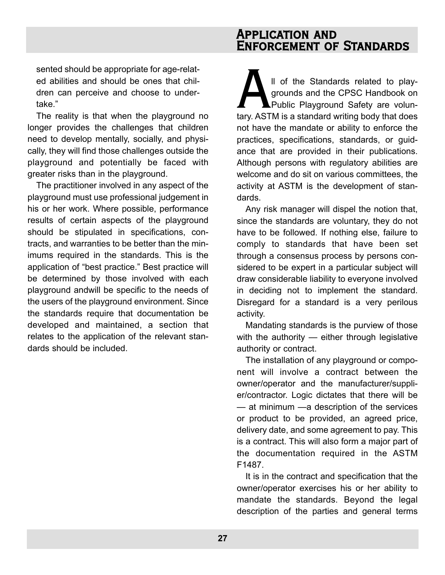## Application and Enforcement of Standards

sented should be appropriate for age-related abilities and should be ones that children can perceive and choose to undertake."

The reality is that when the playground no longer provides the challenges that children need to develop mentally, socially, and physically, they will find those challenges outside the playground and potentially be faced with greater risks than in the playground.

The practitioner involved in any aspect of the playground must use professional judgement in his or her work. Where possible, performance results of certain aspects of the playground should be stipulated in specifications, contracts, and warranties to be better than the minimums required in the standards. This is the application of "best practice." Best practice will be determined by those involved with each playground andwill be specific to the needs of the users of the playground environment. Since the standards require that documentation be developed and maintained, a section that relates to the application of the relevant standards should be included.

II of the Standards related to play-<br>
grounds and the CPSC Handbook on<br>
Public Playground Safety are volun-<br>
tary. ASTM is a standard writing body that does grounds and the CPSC Handbook on Public Playground Safety are volunnot have the mandate or ability to enforce the practices, specifications, standards, or guidance that are provided in their publications. Although persons with regulatory abilities are welcome and do sit on various committees, the activity at ASTM is the development of standards.

Any risk manager will dispel the notion that, since the standards are voluntary, they do not have to be followed. If nothing else, failure to comply to standards that have been set through a consensus process by persons considered to be expert in a particular subject will draw considerable liability to everyone involved in deciding not to implement the standard. Disregard for a standard is a very perilous activity.

Mandating standards is the purview of those with the authority — either through legislative authority or contract.

The installation of any playground or component will involve a contract between the owner/operator and the manufacturer/supplier/contractor. Logic dictates that there will be — at minimum —a description of the services or product to be provided, an agreed price, delivery date, and some agreement to pay. This is a contract. This will also form a major part of the documentation required in the ASTM F1487.

It is in the contract and specification that the owner/operator exercises his or her ability to mandate the standards. Beyond the legal description of the parties and general terms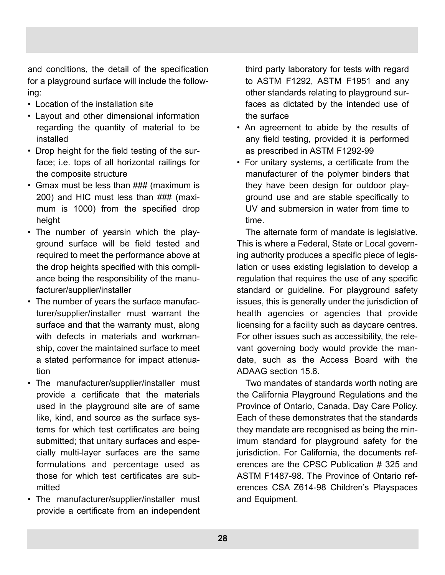and conditions, the detail of the specification for a playground surface will include the following:

- Location of the installation site
- Layout and other dimensional information regarding the quantity of material to be installed
- Drop height for the field testing of the surface; i.e. tops of all horizontal railings for the composite structure
- Gmax must be less than ### (maximum is 200) and HIC must less than ### (maximum is 1000) from the specified drop height
- The number of yearsin which the playground surface will be field tested and required to meet the performance above at the drop heights specified with this compliance being the responsibility of the manufacturer/supplier/installer
- The number of years the surface manufacturer/supplier/installer must warrant the surface and that the warranty must, along with defects in materials and workmanship, cover the maintained surface to meet a stated performance for impact attenuation
- The manufacturer/supplier/installer must provide a certificate that the materials used in the playground site are of same like, kind, and source as the surface systems for which test certificates are being submitted; that unitary surfaces and especially multi-layer surfaces are the same formulations and percentage used as those for which test certificates are submitted
- The manufacturer/supplier/installer must provide a certificate from an independent

third party laboratory for tests with regard to ASTM F1292, ASTM F1951 and any other standards relating to playground surfaces as dictated by the intended use of the surface

- An agreement to abide by the results of any field testing, provided it is performed as prescribed in ASTM F1292-99
- For unitary systems, a certificate from the manufacturer of the polymer binders that they have been design for outdoor playground use and are stable specifically to UV and submersion in water from time to time.

The alternate form of mandate is legislative. This is where a Federal, State or Local governing authority produces a specific piece of legislation or uses existing legislation to develop a regulation that requires the use of any specific standard or guideline. For playground safety issues, this is generally under the jurisdiction of health agencies or agencies that provide licensing for a facility such as daycare centres. For other issues such as accessibility, the relevant governing body would provide the mandate, such as the Access Board with the ADAAG section 15.6.

Two mandates of standards worth noting are the California Playground Regulations and the Province of Ontario, Canada, Day Care Policy. Each of these demonstrates that the standards they mandate are recognised as being the minimum standard for playground safety for the jurisdiction. For California, the documents references are the CPSC Publication # 325 and ASTM F1487-98. The Province of Ontario references CSA Z614-98 Children's Playspaces and Equipment.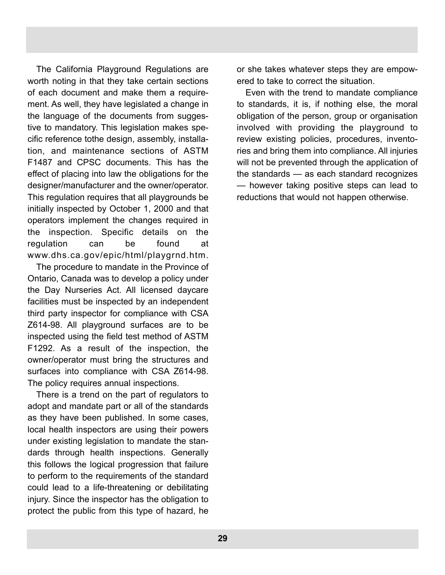The California Playground Regulations are worth noting in that they take certain sections of each document and make them a requirement. As well, they have legislated a change in the language of the documents from suggestive to mandatory. This legislation makes specific reference tothe design, assembly, installation, and maintenance sections of ASTM F1487 and CPSC documents. This has the effect of placing into law the obligations for the designer/manufacturer and the owner/operator. This regulation requires that all playgrounds be initially inspected by October 1, 2000 and that operators implement the changes required in the inspection. Specific details on the regulation can be found at www.dhs.ca.gov/epic/html/playgrnd.htm.

The procedure to mandate in the Province of Ontario, Canada was to develop a policy under the Day Nurseries Act. All licensed daycare facilities must be inspected by an independent third party inspector for compliance with CSA Z614-98. All playground surfaces are to be inspected using the field test method of ASTM F1292. As a result of the inspection, the owner/operator must bring the structures and surfaces into compliance with CSA Z614-98. The policy requires annual inspections.

There is a trend on the part of regulators to adopt and mandate part or all of the standards as they have been published. In some cases, local health inspectors are using their powers under existing legislation to mandate the standards through health inspections. Generally this follows the logical progression that failure to perform to the requirements of the standard could lead to a life-threatening or debilitating injury. Since the inspector has the obligation to protect the public from this type of hazard, he or she takes whatever steps they are empowered to take to correct the situation.

Even with the trend to mandate compliance to standards, it is, if nothing else, the moral obligation of the person, group or organisation involved with providing the playground to review existing policies, procedures, inventories and bring them into compliance. All injuries will not be prevented through the application of the standards — as each standard recognizes — however taking positive steps can lead to reductions that would not happen otherwise.